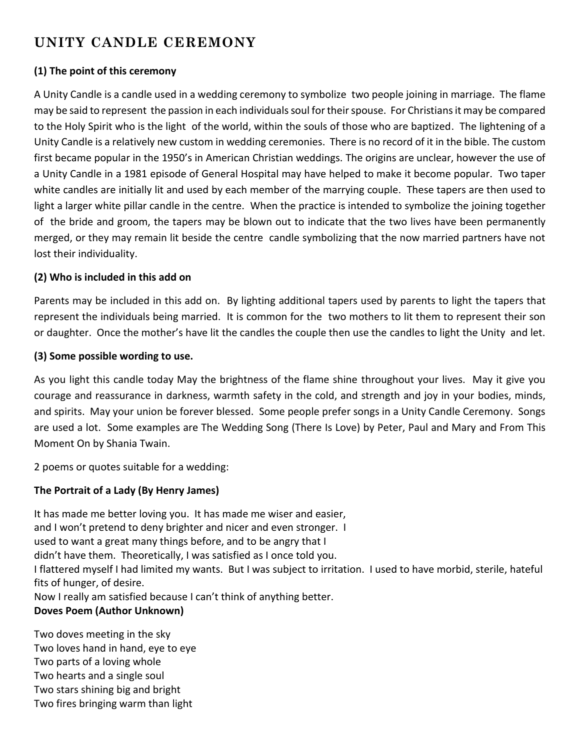# **UNITY CANDLE CEREMONY**

# **(1) The point of this ceremony**

A Unity Candle is a candle used in a wedding ceremony to symbolize two people joining in marriage. The flame may be said to represent the passion in each individuals soul for their spouse. For Christians it may be compared to the Holy Spirit who is the light of the world, within the souls of those who are baptized. The lightening of a Unity Candle is a relatively new custom in wedding ceremonies. There is no record of it in the bible. The custom first became popular in the 1950's in American Christian weddings. The origins are unclear, however the use of a Unity Candle in a 1981 episode of General Hospital may have helped to make it become popular. Two taper white candles are initially lit and used by each member of the marrying couple. These tapers are then used to light a larger white pillar candle in the centre. When the practice is intended to symbolize the joining together of the bride and groom, the tapers may be blown out to indicate that the two lives have been permanently merged, or they may remain lit beside the centre candle symbolizing that the now married partners have not lost their individuality.

# **(2) Who is included in this add on**

Parents may be included in this add on. By lighting additional tapers used by parents to light the tapers that represent the individuals being married. It is common for the two mothers to lit them to represent their son or daughter. Once the mother's have lit the candles the couple then use the candles to light the Unity and let.

## **(3) Some possible wording to use.**

As you light this candle today May the brightness of the flame shine throughout your lives. May it give you courage and reassurance in darkness, warmth safety in the cold, and strength and joy in your bodies, minds, and spirits. May your union be forever blessed. Some people prefer songs in a Unity Candle Ceremony. Songs are used a lot. Some examples are The Wedding Song (There Is Love) by Peter, Paul and Mary and From This Moment On by Shania Twain.

2 poems or quotes suitable for a wedding:

# **The Portrait of a Lady (By Henry James)**

It has made me better loving you. It has made me wiser and easier, and I won't pretend to deny brighter and nicer and even stronger. I used to want a great many things before, and to be angry that I didn't have them. Theoretically, I was satisfied as I once told you. I flattered myself I had limited my wants. But I was subject to irritation. I used to have morbid, sterile, hateful fits of hunger, of desire. Now I really am satisfied because I can't think of anything better. **Doves Poem (Author Unknown)**

Two doves meeting in the sky Two loves hand in hand, eye to eye Two parts of a loving whole Two hearts and a single soul Two stars shining big and bright Two fires bringing warm than light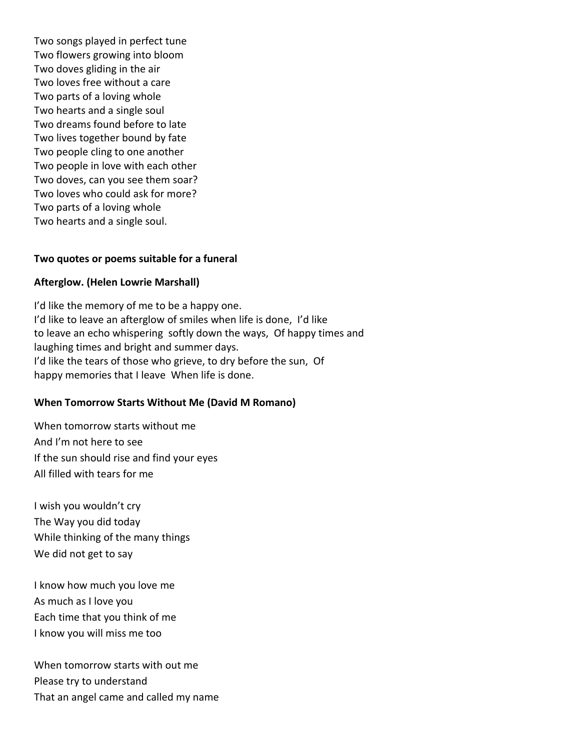Two songs played in perfect tune Two flowers growing into bloom Two doves gliding in the air Two loves free without a care Two parts of a loving whole Two hearts and a single soul Two dreams found before to late Two lives together bound by fate Two people cling to one another Two people in love with each other Two doves, can you see them soar? Two loves who could ask for more? Two parts of a loving whole Two hearts and a single soul.

#### **Two quotes or poems suitable for a funeral**

#### **Afterglow. (Helen Lowrie Marshall)**

I'd like the memory of me to be a happy one. I'd like to leave an afterglow of smiles when life is done, I'd like to leave an echo whispering softly down the ways, Of happy times and laughing times and bright and summer days. I'd like the tears of those who grieve, to dry before the sun, Of happy memories that I leave When life is done.

## **When Tomorrow Starts Without Me (David M Romano)**

When tomorrow starts without me And I'm not here to see If the sun should rise and find your eyes All filled with tears for me

I wish you wouldn't cry The Way you did today While thinking of the many things We did not get to say

I know how much you love me As much as I love you Each time that you think of me I know you will miss me too

When tomorrow starts with out me Please try to understand That an angel came and called my name